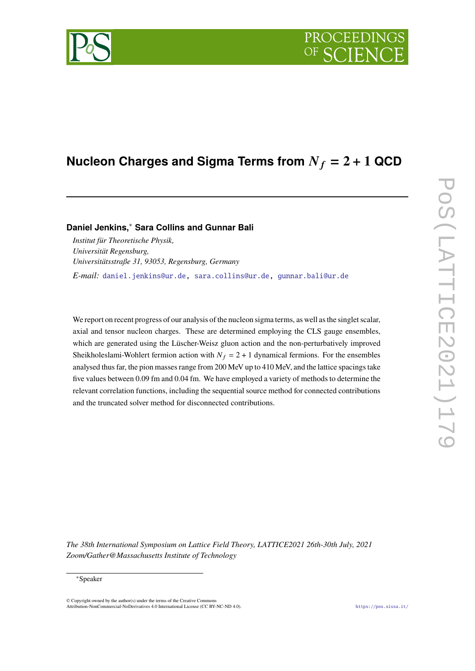# PROCEEDIN

## **Nucleon Charges and Sigma Terms from**  $N_f = 2 + 1$  QCD

### **Daniel Jenkins,**<sup>∗</sup> **Sara Collins and Gunnar Bali**

*Institut für Theoretische Physik, Universität Regensburg, Universitätsstraße 31, 93053, Regensburg, Germany*

*E-mail:* [daniel.jenkins@ur.de,](mailto:daniel.jenkins@ur.de) [sara.collins@ur.de,](mailto:sara.collins@ur.de) [gunnar.bali@ur.de](mailto:gunnar.bali@ur.de)

We report on recent progress of our analysis of the nucleon sigma terms, as well as the singlet scalar, axial and tensor nucleon charges. These are determined employing the CLS gauge ensembles, which are generated using the Lüscher-Weisz gluon action and the non-perturbatively improved Sheikholeslami-Wohlert fermion action with  $N_f = 2 + 1$  dynamical fermions. For the ensembles analysed thus far, the pion masses range from 200 MeV up to 410 MeV, and the lattice spacings take five values between 0.09 fm and 0.04 fm. We have employed a variety of methods to determine the relevant correlation functions, including the sequential source method for connected contributions and the truncated solver method for disconnected contributions.

*The 38th International Symposium on Lattice Field Theory, LATTICE2021 26th-30th July, 2021 Zoom/Gather@Massachusetts Institute of Technology*

#### ∗Speaker

 $\odot$  Copyright owned by the author(s) under the terms of the Creative Common Attribution-NonCommercial-NoDerivatives 4.0 International License (CC BY-NC-ND 4.0). <https://pos.sissa.it/>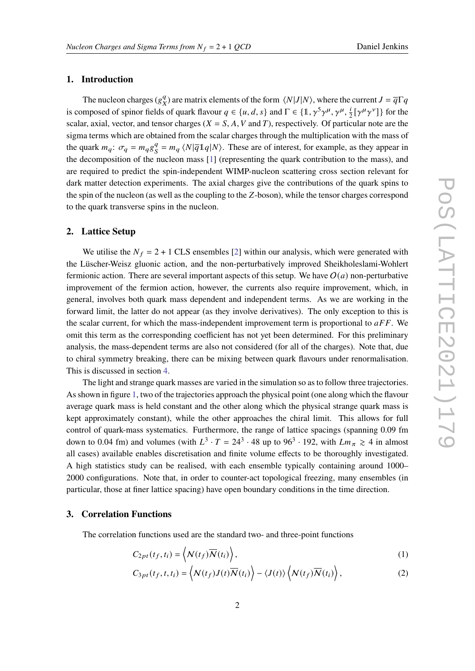#### **1. Introduction**

The nucleon charges ( $g_y^q$  $\frac{q}{X}$ ) are matrix elements of the form  $\langle N|J|N\rangle$ , where the current  $J = \overline{q}\Gamma q$ is composed of spinor fields of quark flavour  $q \in \{u, d, s\}$  and  $\Gamma \in \{1, \gamma^5 \gamma^{\mu}, \gamma^{\mu}, \frac{i}{2} [\gamma^{\mu} \gamma^{\nu}]\}$  for the scalar, axial, vector, and tensor charges ( $X = S$ , A, V and T), respectively. Of particular note are the sigma terms which are obtained from the scalar charges through the multiplication with the mass of the quark  $m_q$ :  $\sigma_q = m_q g_S^q$  $S = m_q \langle N | \overline{q} 1 q | N \rangle$ . These are of interest, for example, as they appear in the decomposition of the nucleon mass [\[1\]](#page-8-0) (representing the quark contribution to the mass), and are required to predict the spin-independent WIMP-nucleon scattering cross section relevant for dark matter detection experiments. The axial charges give the contributions of the quark spins to the spin of the nucleon (as well as the coupling to the Z-boson), while the tensor charges correspond to the quark transverse spins in the nucleon.

#### **2. Lattice Setup**

We utilise the  $N_f = 2 + 1$  CLS ensembles [\[2\]](#page-8-1) within our analysis, which were generated with the Lüscher-Weisz gluonic action, and the non-perturbatively improved Sheikholeslami-Wohlert fermionic action. There are several important aspects of this setup. We have  $O(a)$  non-perturbative improvement of the fermion action, however, the currents also require improvement, which, in general, involves both quark mass dependent and independent terms. As we are working in the forward limit, the latter do not appear (as they involve derivatives). The only exception to this is the scalar current, for which the mass-independent improvement term is proportional to  $aFF$ . We omit this term as the corresponding coefficient has not yet been determined. For this preliminary analysis, the mass-dependent terms are also not considered (for all of the charges). Note that, due to chiral symmetry breaking, there can be mixing between quark flavours under renormalisation. This is discussed in section [4.](#page-5-0)

The light and strange quark masses are varied in the simulation so as to follow three trajectories. As shown in figure [1,](#page-2-0) two of the trajectories approach the physical point (one along which the flavour average quark mass is held constant and the other along which the physical strange quark mass is kept approximately constant), while the other approaches the chiral limit. This allows for full control of quark-mass systematics. Furthermore, the range of lattice spacings (spanning 0.09 fm down to 0.04 fm) and volumes (with  $L^3 \cdot T = 24^3 \cdot 48$  up to  $96^3 \cdot 192$ , with  $Lm_{\pi} \ge 4$  in almost all cases) available enables discretisation and finite volume effects to be thoroughly investigated. A high statistics study can be realised, with each ensemble typically containing around 1000– 2000 configurations. Note that, in order to counter-act topological freezing, many ensembles (in particular, those at finer lattice spacing) have open boundary conditions in the time direction.

#### **3. Correlation Functions**

The correlation functions used are the standard two- and three-point functions

<span id="page-1-0"></span>
$$
C_{2pt}(t_f, t_i) = \left\langle \mathcal{N}(t_f) \overline{\mathcal{N}}(t_i) \right\rangle, \tag{1}
$$

$$
C_{3pt}(t_f, t, t_i) = \left\langle N(t_f)J(t)\overline{N}(t_i) \right\rangle - \left\langle J(t) \right\rangle \left\langle N(t_f)\overline{N}(t_i) \right\rangle, \tag{2}
$$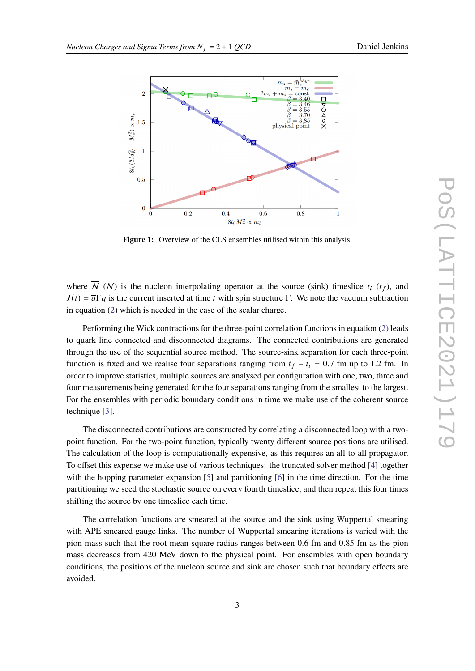<span id="page-2-0"></span>

Figure 1: Overview of the CLS ensembles utilised within this analysis.

where  $\overline{N}$  (N) is the nucleon interpolating operator at the source (sink) timeslice  $t_i$  ( $t_f$ ), and  $J(t) = \overline{q}\Gamma q$  is the current inserted at time t with spin structure Γ. We note the vacuum subtraction in equation [\(2\)](#page-1-0) which is needed in the case of the scalar charge.

Performing the Wick contractions for the three-point correlation functions in equation [\(2\)](#page-1-0) leads to quark line connected and disconnected diagrams. The connected contributions are generated through the use of the sequential source method. The source-sink separation for each three-point function is fixed and we realise four separations ranging from  $t_f - t_i = 0.7$  fm up to 1.2 fm. In order to improve statistics, multiple sources are analysed per configuration with one, two, three and four measurements being generated for the four separations ranging from the smallest to the largest. For the ensembles with periodic boundary conditions in time we make use of the coherent source technique [\[3\]](#page-8-2).

The disconnected contributions are constructed by correlating a disconnected loop with a twopoint function. For the two-point function, typically twenty different source positions are utilised. The calculation of the loop is computationally expensive, as this requires an all-to-all propagator. To offset this expense we make use of various techniques: the truncated solver method [\[4\]](#page-8-3) together with the hopping parameter expansion [\[5\]](#page-8-4) and partitioning [\[6\]](#page-8-5) in the time direction. For the time partitioning we seed the stochastic source on every fourth timeslice, and then repeat this four times shifting the source by one timeslice each time.

The correlation functions are smeared at the source and the sink using Wuppertal smearing with APE smeared gauge links. The number of Wuppertal smearing iterations is varied with the pion mass such that the root-mean-square radius ranges between 0.6 fm and 0.85 fm as the pion mass decreases from 420 MeV down to the physical point. For ensembles with open boundary conditions, the positions of the nucleon source and sink are chosen such that boundary effects are avoided.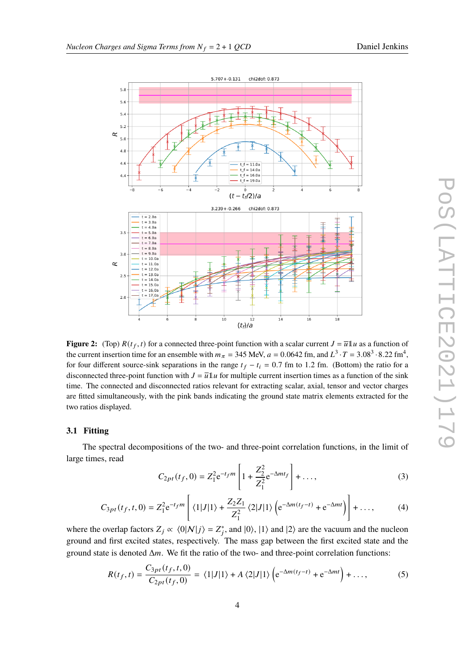<span id="page-3-0"></span>

**Figure 2:** (Top)  $R(t_f, t)$  for a connected three-point function with a scalar current  $J = \overline{u}1u$  as a function of the current insertion time for an ensemble with  $m_{\pi} = 345$  MeV,  $a = 0.0642$  fm, and  $L^3 \cdot T = 3.08^3 \cdot 8.22$  fm<sup>4</sup>, for four different source-sink separations in the range  $t_f - t_i = 0.7$  fm to 1.2 fm. (Bottom) the ratio for a disconnected three-point function with  $J = \overline{u}1u$  for multiple current insertion times as a function of the sink time. The connected and disconnected ratios relevant for extracting scalar, axial, tensor and vector charges are fitted simultaneously, with the pink bands indicating the ground state matrix elements extracted for the two ratios displayed.

#### **3.1 Fitting**

The spectral decompositions of the two- and three-point correlation functions, in the limit of large times, read

$$
C_{2pt}(t_f, 0) = Z_1^2 e^{-t_f m} \left[ 1 + \frac{Z_2^2}{Z_1^2} e^{-\Delta mt_f} \right] + \dots,
$$
 (3)

$$
C_{3pt}(t_f, t, 0) = Z_1^2 e^{-t_f m} \left[ \langle 1|J|1 \rangle + \frac{Z_2 Z_1}{Z_1^2} \langle 2|J|1 \rangle \left( e^{-\Delta m (t_f - t)} + e^{-\Delta m t} \right) \right] + \dots, \tag{4}
$$

where the overlap factors  $Z_j \propto \langle 0 | \mathcal{N} | j \rangle = Z_j^*$ , and  $|0\rangle$ ,  $|1\rangle$  and  $|2\rangle$  are the vacuum and the nucleon ground and first excited states, respectively. The mass gap between the first excited state and the ground state is denoted  $\Delta m$ . We fit the ratio of the two- and three-point correlation functions:

$$
R(t_f, t) = \frac{C_{3pt}(t_f, t, 0)}{C_{2pt}(t_f, 0)} = \langle 1|J|1 \rangle + A \langle 2|J|1 \rangle \left( e^{-\Delta m(t_f - t)} + e^{-\Delta mt} \right) + \dots,
$$
 (5)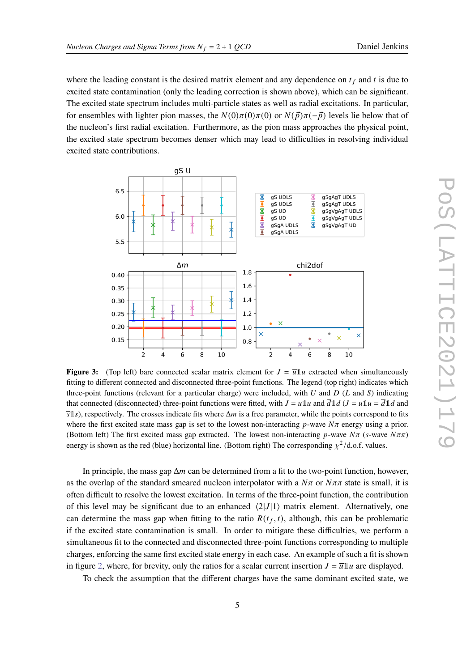where the leading constant is the desired matrix element and any dependence on  $t_f$  and t is due to excited state contamination (only the leading correction is shown above), which can be significant. The excited state spectrum includes multi-particle states as well as radial excitations. In particular, for ensembles with lighter pion masses, the  $N(0)\pi(0)\pi(0)$  or  $N(\vec{p})\pi(-\vec{p})$  levels lie below that of the nucleon's first radial excitation. Furthermore, as the pion mass approaches the physical point, the excited state spectrum becomes denser which may lead to difficulties in resolving individual excited state contributions.

<span id="page-4-0"></span>

**Figure 3:** (Top left) bare connected scalar matrix element for  $J = \overline{u}1u$  extracted when simultaneously fitting to different connected and disconnected three-point functions. The legend (top right) indicates which three-point functions (relevant for a particular charge) were included, with  $U$  and  $D$  ( $L$  and  $S$ ) indicating that connected (disconnected) three-point functions were fitted, with  $J = \overline{u}1u$  and  $\overline{d}1d$  ( $J = \overline{u}1u = \overline{d}1d$  and  $\overline{s}1s$ ), respectively. The crosses indicate fits where  $\Delta m$  is a free parameter, while the points correspond to fits where the first excited state mass gap is set to the lowest non-interacting  $p$ -wave  $N\pi$  energy using a prior. (Bottom left) The first excited mass gap extracted. The lowest non-interacting p-wave  $N\pi$  (s-wave  $N\pi\pi$ ) energy is shown as the red (blue) horizontal line. (Bottom right) The corresponding  $\chi^2/\text{d.o.f.}$  values.

In principle, the mass gap  $\Delta m$  can be determined from a fit to the two-point function, however, as the overlap of the standard smeared nucleon interpolator with a  $N\pi$  or  $N\pi\pi$  state is small, it is often difficult to resolve the lowest excitation. In terms of the three-point function, the contribution of this level may be significant due to an enhanced  $\langle 2|J|1 \rangle$  matrix element. Alternatively, one can determine the mass gap when fitting to the ratio  $R(t_f, t)$ , although, this can be problematic if the excited state contamination is small. In order to mitigate these difficulties, we perform a simultaneous fit to the connected and disconnected three-point functions corresponding to multiple charges, enforcing the same first excited state energy in each case. An example of such a fit is shown in figure [2,](#page-3-0) where, for brevity, only the ratios for a scalar current insertion  $J = \overline{u}1u$  are displayed.

To check the assumption that the different charges have the same dominant excited state, we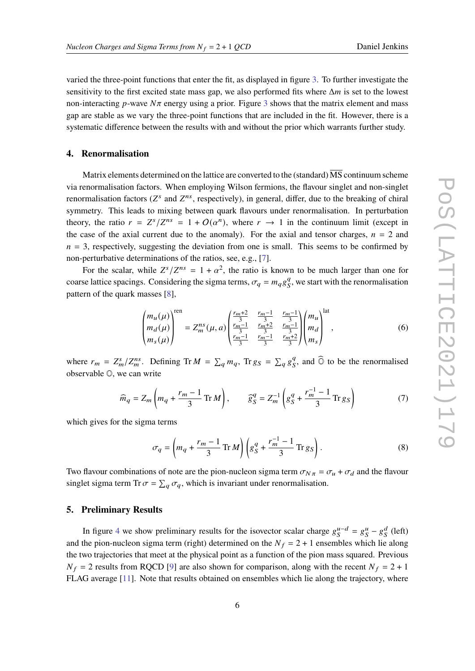varied the three-point functions that enter the fit, as displayed in figure [3.](#page-4-0) To further investigate the sensitivity to the first excited state mass gap, we also performed fits where  $\Delta m$  is set to the lowest non-interacting  $p$ -wave  $N\pi$  energy using a prior. Figure [3](#page-4-0) shows that the matrix element and mass gap are stable as we vary the three-point functions that are included in the fit. However, there is a systematic difference between the results with and without the prior which warrants further study.

#### <span id="page-5-0"></span>**4. Renormalisation**

Matrix elements determined on the lattice are converted to the (standard)  $\overline{\text{MS}}$  continuum scheme via renormalisation factors. When employing Wilson fermions, the flavour singlet and non-singlet renormalisation factors ( $Z^s$  and  $Z^{ns}$ , respectively), in general, differ, due to the breaking of chiral symmetry. This leads to mixing between quark flavours under renormalisation. In perturbation theory, the ratio  $r = Z^s/Z^{ns} = 1 + O(\alpha^n)$ , where  $r \to 1$  in the continuum limit (except in the case of the axial current due to the anomaly). For the axial and tensor charges,  $n = 2$  and  $n = 3$ , respectively, suggesting the deviation from one is small. This seems to be confirmed by non-perturbative determinations of the ratios, see, e.g., [\[7\]](#page-8-6).

For the scalar, while  $Z^{s}/Z^{ns} = 1 + \alpha^{2}$ , the ratio is known to be much larger than one for coarse lattice spacings. Considering the sigma terms,  $\sigma_q = m_q g_S^q$  $S<sub>S</sub>$ , we start with the renormalisation pattern of the quark masses [\[8\]](#page-8-7),

$$
\begin{pmatrix} m_u(\mu) \\ m_d(\mu) \\ m_s(\mu) \end{pmatrix}^{\text{ren}} = Z_m^{ns}(\mu, a) \begin{pmatrix} \frac{r_m + 2}{3} & \frac{r_m - 1}{3} & \frac{r_m - 1}{3} \\ \frac{r_m - 1}{3} & \frac{r_m + 2}{3} & \frac{r_m - 1}{3} \\ \frac{r_m - 1}{3} & \frac{r_m + 2}{3} & \frac{r_m + 2}{3} \end{pmatrix} \begin{pmatrix} m_u \\ m_d \\ m_s \end{pmatrix}^{\text{lat}},
$$
(6)

where  $r_m = Z_m^s/Z_m^{ns}$ . Defining Tr  $M = \sum_q m_q$ , Tr  $g_S = \sum_q g_S^q$  $\mathcal{G}_s^q$ , and  $\widehat{\mathbb{O}}$  to be the renormalised observable O, we can write

$$
\widehat{m}_q = Z_m \left( m_q + \frac{r_m - 1}{3} \operatorname{Tr} M \right), \qquad \widehat{g}_S^q = Z_m^{-1} \left( g_S^q + \frac{r_m^{-1} - 1}{3} \operatorname{Tr} g_S \right) \tag{7}
$$

which gives for the sigma terms

$$
\sigma_q = \left( m_q + \frac{r_m - 1}{3} \operatorname{Tr} M \right) \left( g_S^q + \frac{r_m^{-1} - 1}{3} \operatorname{Tr} g_S \right). \tag{8}
$$

Two flavour combinations of note are the pion-nucleon sigma term  $\sigma_{N\pi} = \sigma_u + \sigma_d$  and the flavour singlet sigma term Tr  $\sigma = \sum_a \sigma_a$ , which is invariant under renormalisation.

#### **5. Preliminary Results**

In figure [4](#page-6-0) we show preliminary results for the isovector scalar charge  $g_S^{u-d} = g_S^u - g_S^d$  (left) and the pion-nucleon sigma term (right) determined on the  $N_f = 2 + 1$  ensembles which lie along the two trajectories that meet at the physical point as a function of the pion mass squared. Previous  $N_f = 2$  results from RQCD [\[9\]](#page-8-8) are also shown for comparison, along with the recent  $N_f = 2 + 1$ FLAG average [\[11\]](#page-8-9). Note that results obtained on ensembles which lie along the trajectory, where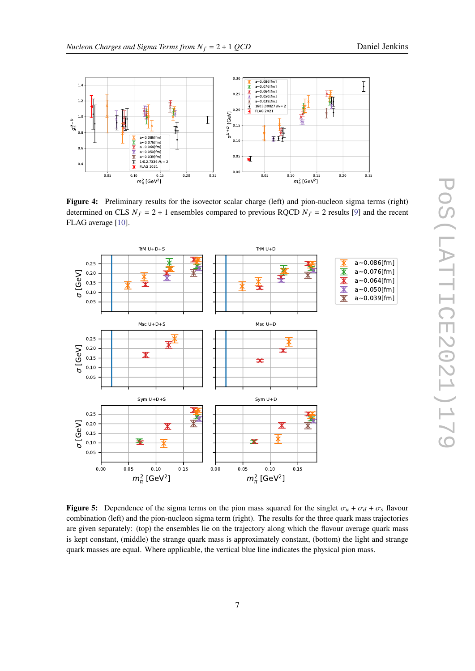<span id="page-6-0"></span>

**Figure 4:** Preliminary results for the isovector scalar charge (left) and pion-nucleon sigma terms (right) determined on CLS  $N_f = 2 + 1$  ensembles compared to previous RQCD  $N_f = 2$  results [\[9\]](#page-8-8) and the recent FLAG average [\[10\]](#page-8-10).

<span id="page-6-1"></span>

**Figure 5:** Dependence of the sigma terms on the pion mass squared for the singlet  $\sigma_u + \sigma_d + \sigma_s$  flavour combination (left) and the pion-nucleon sigma term (right). The results for the three quark mass trajectories are given separately: (top) the ensembles lie on the trajectory along which the flavour average quark mass is kept constant, (middle) the strange quark mass is approximately constant, (bottom) the light and strange quark masses are equal. Where applicable, the vertical blue line indicates the physical pion mass.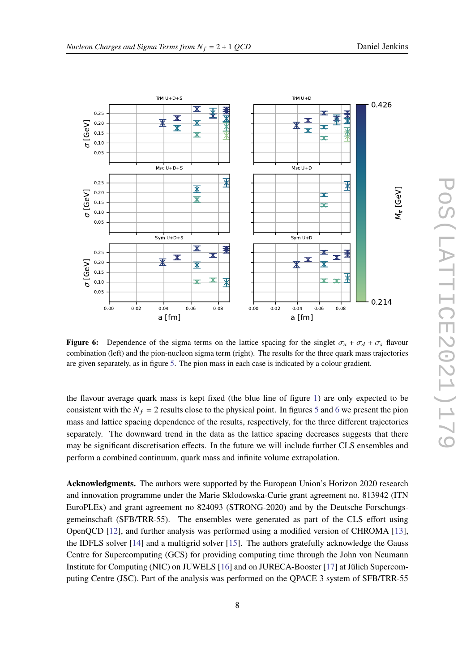<span id="page-7-0"></span>

**Figure 6:** Dependence of the sigma terms on the lattice spacing for the singlet  $\sigma_u + \sigma_d + \sigma_s$  flavour combination (left) and the pion-nucleon sigma term (right). The results for the three quark mass trajectories are given separately, as in figure [5.](#page-6-1) The pion mass in each case is indicated by a colour gradient.

the flavour average quark mass is kept fixed (the blue line of figure [1\)](#page-2-0) are only expected to be consistent with the  $N_f = 2$  results close to the physical point. In figures [5](#page-6-1) and [6](#page-7-0) we present the pion mass and lattice spacing dependence of the results, respectively, for the three different trajectories separately. The downward trend in the data as the lattice spacing decreases suggests that there may be significant discretisation effects. In the future we will include further CLS ensembles and perform a combined continuum, quark mass and infinite volume extrapolation.

**Acknowledgments.** The authors were supported by the European Union's Horizon 2020 research and innovation programme under the Marie Skłodowska-Curie grant agreement no. 813942 (ITN EuroPLEx) and grant agreement no 824093 (STRONG-2020) and by the Deutsche Forschungsgemeinschaft (SFB/TRR-55). The ensembles were generated as part of the CLS effort using OpenQCD [\[12\]](#page-8-11), and further analysis was performed using a modified version of CHROMA [\[13\]](#page-8-12), the IDFLS solver [\[14\]](#page-8-13) and a multigrid solver [\[15\]](#page-8-14). The authors gratefully acknowledge the Gauss Centre for Supercomputing (GCS) for providing computing time through the John von Neumann Institute for Computing (NIC) on JUWELS [\[16\]](#page-8-15) and on JURECA-Booster [\[17\]](#page-8-16) at Jülich Supercomputing Centre (JSC). Part of the analysis was performed on the QPACE 3 system of SFB/TRR-55